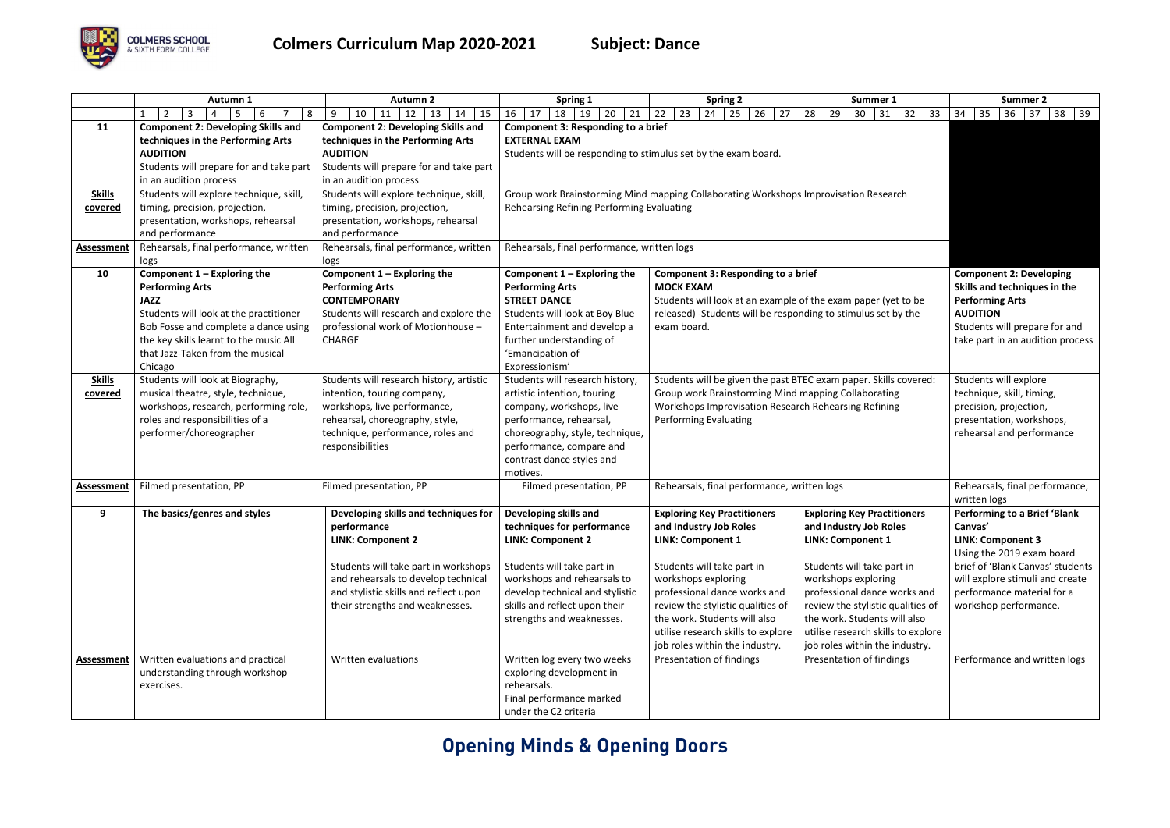## **Opening Minds & Opening Doors**



|                          | Autumn 1                                                                                                                                                                                                                                          | <b>Autumn 2</b>                                                                                                                                                                                                                            | Spring 1                                                                                                                                                                                                                                      | <b>Spring 2</b>                                                                                                                                                                                                                                                                                                            | Summer 1                                                                                                                                                                                                                                                                                                                   | Summer 2                                                                                                                                                                                                                              |
|--------------------------|---------------------------------------------------------------------------------------------------------------------------------------------------------------------------------------------------------------------------------------------------|--------------------------------------------------------------------------------------------------------------------------------------------------------------------------------------------------------------------------------------------|-----------------------------------------------------------------------------------------------------------------------------------------------------------------------------------------------------------------------------------------------|----------------------------------------------------------------------------------------------------------------------------------------------------------------------------------------------------------------------------------------------------------------------------------------------------------------------------|----------------------------------------------------------------------------------------------------------------------------------------------------------------------------------------------------------------------------------------------------------------------------------------------------------------------------|---------------------------------------------------------------------------------------------------------------------------------------------------------------------------------------------------------------------------------------|
|                          | $2^{\circ}$<br>8<br>$\mathbf{1}$<br>3<br>5<br>6<br>4                                                                                                                                                                                              | 10<br>9<br>$11 \mid 12$<br>15<br>13<br>14                                                                                                                                                                                                  | 16<br>21<br>18<br>19<br>20<br>17                                                                                                                                                                                                              | 22<br>23<br>26<br>27<br>24<br>25                                                                                                                                                                                                                                                                                           | 29<br>30 <sup>°</sup><br>32<br>28<br> 31<br>33                                                                                                                                                                                                                                                                             | 35<br>34<br>36<br>37<br>$38 \mid 39$                                                                                                                                                                                                  |
| 11                       | <b>Component 2: Developing Skills and</b><br>techniques in the Performing Arts<br><b>AUDITION</b><br>Students will prepare for and take part<br>in an audition process                                                                            | <b>Component 2: Developing Skills and</b><br>techniques in the Performing Arts<br><b>AUDITION</b><br>Students will prepare for and take part<br>in an audition process                                                                     | <b>Component 3: Responding to a brief</b><br><b>EXTERNAL EXAM</b><br>Students will be responding to stimulus set by the exam board.                                                                                                           |                                                                                                                                                                                                                                                                                                                            |                                                                                                                                                                                                                                                                                                                            |                                                                                                                                                                                                                                       |
| <b>Skills</b><br>covered | Students will explore technique, skill,<br>timing, precision, projection,<br>presentation, workshops, rehearsal<br>and performance                                                                                                                | Students will explore technique, skill,<br>timing, precision, projection,<br>presentation, workshops, rehearsal<br>and performance                                                                                                         | Group work Brainstorming Mind mapping Collaborating Workshops Improvisation Research<br>Rehearsing Refining Performing Evaluating                                                                                                             |                                                                                                                                                                                                                                                                                                                            |                                                                                                                                                                                                                                                                                                                            |                                                                                                                                                                                                                                       |
| <b>Assessment</b>        | Rehearsals, final performance, written<br>logs                                                                                                                                                                                                    | Rehearsals, final performance, written<br>logs                                                                                                                                                                                             | Rehearsals, final performance, written logs                                                                                                                                                                                                   |                                                                                                                                                                                                                                                                                                                            |                                                                                                                                                                                                                                                                                                                            |                                                                                                                                                                                                                                       |
| 10                       | Component $1$ – Exploring the<br><b>Performing Arts</b><br><b>JAZZ</b><br>Students will look at the practitioner<br>Bob Fosse and complete a dance using<br>the key skills learnt to the music All<br>that Jazz-Taken from the musical<br>Chicago | Component $1$ – Exploring the<br><b>Performing Arts</b><br><b>CONTEMPORARY</b><br>Students will research and explore the<br>professional work of Motionhouse -<br><b>CHARGE</b>                                                            | Component $1$ – Exploring the<br><b>Performing Arts</b><br><b>STREET DANCE</b><br>Students will look at Boy Blue<br>Entertainment and develop a<br>further understanding of<br>'Emancipation of<br>Expressionism'                             | Component 3: Responding to a brief<br><b>MOCK EXAM</b><br>Students will look at an example of the exam paper (yet to be<br>released) -Students will be responding to stimulus set by the<br>exam board.                                                                                                                    |                                                                                                                                                                                                                                                                                                                            | <b>Component 2: Developing</b><br>Skills and techniques in the<br><b>Performing Arts</b><br><b>AUDITION</b><br>Students will prepare for and<br>take part in an audition process                                                      |
| <b>Skills</b><br>covered | Students will look at Biography,<br>musical theatre, style, technique,<br>workshops, research, performing role,<br>roles and responsibilities of a<br>performer/choreographer                                                                     | Students will research history, artistic<br>intention, touring company,<br>workshops, live performance,<br>rehearsal, choreography, style,<br>technique, performance, roles and<br>responsibilities                                        | Students will research history,<br>artistic intention, touring<br>company, workshops, live<br>performance, rehearsal,<br>choreography, style, technique,<br>performance, compare and<br>contrast dance styles and<br>motives.                 | Students will be given the past BTEC exam paper. Skills covered:<br>Group work Brainstorming Mind mapping Collaborating<br>Workshops Improvisation Research Rehearsing Refining<br><b>Performing Evaluating</b>                                                                                                            |                                                                                                                                                                                                                                                                                                                            | Students will explore<br>technique, skill, timing,<br>precision, projection,<br>presentation, workshops,<br>rehearsal and performance                                                                                                 |
| <b>Assessment</b>        | Filmed presentation, PP                                                                                                                                                                                                                           | Filmed presentation, PP                                                                                                                                                                                                                    | Filmed presentation, PP                                                                                                                                                                                                                       | Rehearsals, final performance, written logs                                                                                                                                                                                                                                                                                |                                                                                                                                                                                                                                                                                                                            | Rehearsals, final performance,<br>written logs                                                                                                                                                                                        |
| 9                        | The basics/genres and styles                                                                                                                                                                                                                      | Developing skills and techniques for<br>performance<br><b>LINK: Component 2</b><br>Students will take part in workshops<br>and rehearsals to develop technical<br>and stylistic skills and reflect upon<br>their strengths and weaknesses. | Developing skills and<br>techniques for performance<br><b>LINK: Component 2</b><br>Students will take part in<br>workshops and rehearsals to<br>develop technical and stylistic<br>skills and reflect upon their<br>strengths and weaknesses. | <b>Exploring Key Practitioners</b><br>and Industry Job Roles<br><b>LINK: Component 1</b><br>Students will take part in<br>workshops exploring<br>professional dance works and<br>review the stylistic qualities of<br>the work. Students will also<br>utilise research skills to explore<br>job roles within the industry. | <b>Exploring Key Practitioners</b><br>and Industry Job Roles<br><b>LINK: Component 1</b><br>Students will take part in<br>workshops exploring<br>professional dance works and<br>review the stylistic qualities of<br>the work. Students will also<br>utilise research skills to explore<br>job roles within the industry. | <b>Performing to a Brief 'Blank</b><br>Canvas'<br><b>LINK: Component 3</b><br>Using the 2019 exam board<br>brief of 'Blank Canvas' students<br>will explore stimuli and create<br>performance material for a<br>workshop performance. |
| <b>Assessment</b>        | Written evaluations and practical<br>understanding through workshop<br>exercises.                                                                                                                                                                 | Written evaluations                                                                                                                                                                                                                        | Written log every two weeks<br>exploring development in<br>rehearsals.<br>Final performance marked<br>under the C2 criteria                                                                                                                   | Presentation of findings                                                                                                                                                                                                                                                                                                   | Presentation of findings                                                                                                                                                                                                                                                                                                   | Performance and written logs                                                                                                                                                                                                          |